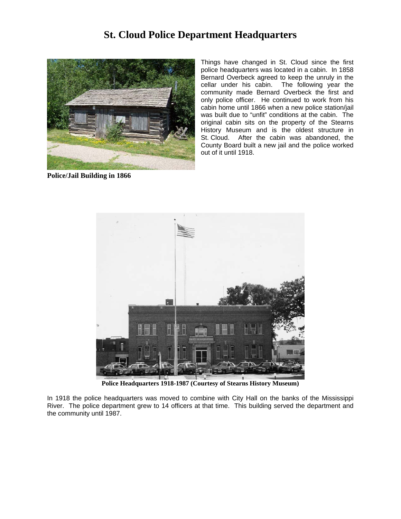## **St. Cloud Police Department Headquarters**



**Police/Jail Building in 1866**

Things have changed in St. Cloud since the first police headquarters was located in a cabin. In 1858 Bernard Overbeck agreed to keep the unruly in the cellar under his cabin. The following year the community made Bernard Overbeck the first and only police officer. He continued to work from his cabin home until 1866 when a new police station/jail was built due to "unfit" conditions at the cabin. The original cabin sits on the property of the Stearns History Museum and is the oldest structure in St. Cloud. After the cabin was abandoned, the County Board built a new jail and the police worked out of it until 1918.



**Police Headquarters 1918-1987 (Courtesy of Stearns History Museum)**

In 1918 the police headquarters was moved to combine with City Hall on the banks of the Mississippi River. The police department grew to 14 officers at that time. This building served the department and the community until 1987.